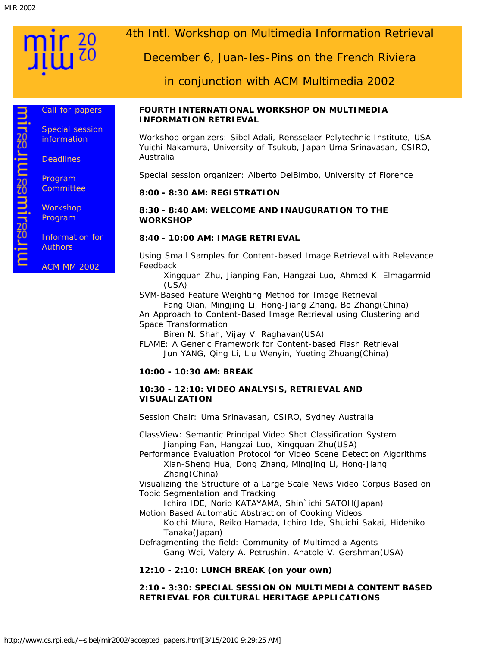mirssuussmirssuu

[Call for papers](http://www.cs.rpi.edu/mir2002/cfp.html)

[Special session](http://www.cs.rpi.edu/mir2002/special_session.html) [information](http://www.cs.rpi.edu/mir2002/special_session.html)

**[Deadlines](http://www.cs.rpi.edu/mir2002/deadlines.html)** 

[Program](http://www.cs.rpi.edu/mir2002/pc.html) **[Committee](http://www.cs.rpi.edu/mir2002/pc.html)** 

**[Workshop](http://www.cs.rpi.edu/mir2002/accepted_papers.html)** [Program](http://www.cs.rpi.edu/mir2002/accepted_papers.html)

[Information for](http://www.cs.rpi.edu/mir2002/author_info.html) **[Authors](http://www.cs.rpi.edu/mir2002/author_info.html)** 

[ACM MM 2002](http://mm02.eurecom.fr/)

# 4th Intl. Workshop on Multimedia Information Retrieval

December 6, Juan-les-Pins on the French Riviera

in conjunction with ACM Multimedia 2002

#### **FOURTH INTERNATIONAL WORKSHOP ON MULTIMEDIA INFORMATION RETRIEVAL**

*Workshop organizers:* Sibel Adali, Rensselaer Polytechnic Institute, USA Yuichi Nakamura, University of Tsukub, Japan Uma Srinavasan, CSIRO, Australia

*Special session organizer:* Alberto DelBimbo, University of Florence

# **8:00 - 8:30 AM: REGISTRATION**

**8:30 - 8:40 AM: WELCOME AND INAUGURATION TO THE WORKSHOP**

# **8:40 - 10:00 AM: IMAGE RETRIEVAL**

Using Small Samples for Content-based Image Retrieval with Relevance Feedback

Xingquan Zhu, Jianping Fan, Hangzai Luo, Ahmed K. Elmagarmid (USA)

SVM-Based Feature Weighting Method for Image Retrieval

Fang Qian, Mingjing Li, Hong-Jiang Zhang, Bo Zhang(China) An Approach to Content-Based Image Retrieval using Clustering and Space Transformation

Biren N. Shah, Vijay V. Raghavan(USA)

FLAME: A Generic Framework for Content-based Flash Retrieval Jun YANG, Qing Li, Liu Wenyin, Yueting Zhuang(China)

# **10:00 - 10:30 AM: BREAK**

#### **10:30 - 12:10: VIDEO ANALYSIS, RETRIEVAL AND VISUALIZATION**

*Session Chair: Uma Srinavasan, CSIRO, Sydney Australia*

ClassView: Semantic Principal Video Shot Classification System Jianping Fan, Hangzai Luo, Xingquan Zhu(USA)

Performance Evaluation Protocol for Video Scene Detection Algorithms Xian-Sheng Hua, Dong Zhang, Mingjing Li, Hong-Jiang Zhang(China)

Visualizing the Structure of a Large Scale News Video Corpus Based on Topic Segmentation and Tracking

Ichiro IDE, Norio KATAYAMA, Shin'ichi SATOH(Japan)

Motion Based Automatic Abstraction of Cooking Videos

Koichi Miura, Reiko Hamada, Ichiro Ide, Shuichi Sakai, Hidehiko Tanaka(Japan)

Defragmenting the field: Community of Multimedia Agents Gang Wei, Valery A. Petrushin, Anatole V. Gershman(USA)

# **12:10 - 2:10: LUNCH BREAK (on your own)**

#### **2:10 - 3:30: SPECIAL SESSION ON MULTIMEDIA CONTENT BASED RETRIEVAL FOR CULTURAL HERITAGE APPLICATIONS**